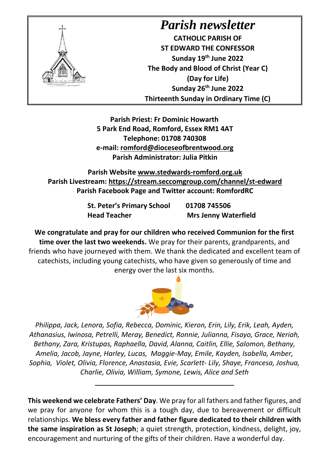

## *Parish newsletter*

**CATHOLIC PARISH OF ST EDWARD THE CONFESSOR Sunday 19th June 2022 The Body and Blood of Christ (Year C) (Day for Life) Sunday 26th June 2022 Thirteenth Sunday in Ordinary Time (C)** 

**Parish Priest: Fr Dominic Howarth 5 Park End Road, Romford, Essex RM1 4AT Telephone: 01708 740308 e-mail: [romford@dioceseofbrentwood.org](mailto:romford@dioceseofbrentwood.org) Parish Administrator: Julia Pitkin**

**Parish Website [www.stedwards-romford.org.uk](http://www.stedwards-romford.org.uk/) Parish Livestream:<https://stream.seccomgroup.com/channel/st-edward> Parish Facebook Page and Twitter account: RomfordRC**

> **St. Peter's Primary School 01708 745506 Head Teacher Mrs Jenny Waterfield**

**We congratulate and pray for our children who received Communion for the first time over the last two weekends.** We pray for their parents, grandparents, and friends who have journeyed with them. We thank the dedicated and excellent team of catechists, including young catechists, who have given so generously of time and energy over the last six months.



*Philippa, Jack, Lenora, Sofia, Rebecca, Dominic, Kieron, Erin, Lily, Erik, Leah, Ayden, Athanasius, Iwinosa, Petrelli, Meray, Benedict, Ronnie, Julianna, Fisayo, Grace, Neriah, Bethany, Zara, Kristupas, Raphaella, David, Alanna, Caitlin, Ellie, Salomon, Bethany, Amelia, Jacob, Jayne, Harley, Lucas, Maggie-May, Emile, Kayden, Isabella, Amber, Sophia, Violet, Olivia, Florence, Anastasia, Evie, Scarlett- Lily, Shaye, Francesa, Joshua, Charlie, Olivia, William, Symone, Lewis, Alice and Seth*

**This weekend we celebrate Fathers' Day**. We pray for all fathers and father figures, and we pray for anyone for whom this is a tough day, due to bereavement or difficult relationships. **We bless every father and father figure dedicated to their children with the same inspiration as St Joseph**; a quiet strength, protection, kindness, delight, joy, encouragement and nurturing of the gifts of their children. Have a wonderful day.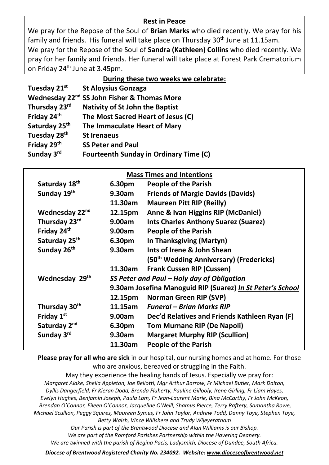## **Rest in Peace**

We pray for the Repose of the Soul of **Brian Marks** who died recently. We pray for his family and friends. His funeral will take place on Thursday 30<sup>th</sup> June at 11.15am. We pray for the Repose of the Soul of **Sandra (Kathleen) Collins** who died recently. We pray for her family and friends. Her funeral will take place at Forest Park Crematorium on Friday 24<sup>th</sup> June at 3.45pm.

| During these two weeks we celebrate: |
|--------------------------------------|
|--------------------------------------|

| Tuesday 21st              | <b>St Aloysius Gonzaga</b>                              |
|---------------------------|---------------------------------------------------------|
|                           | Wednesday 22 <sup>nd</sup> SS John Fisher & Thomas More |
| Thursday 23rd             | <b>Nativity of St John the Baptist</b>                  |
| Friday 24th               | The Most Sacred Heart of Jesus (C)                      |
| Saturday 25 <sup>th</sup> | The Immaculate Heart of Mary                            |
| Tuesday 28 <sup>th</sup>  | <b>St Irenaeus</b>                                      |
| Friday 29th               | <b>SS Peter and Paul</b>                                |
| Sunday 3rd                | <b>Fourteenth Sunday in Ordinary Time (C)</b>           |

| <b>Mass Times and Intentions</b> |  |  |  |  |
|----------------------------------|--|--|--|--|
|----------------------------------|--|--|--|--|

| Saturday 18th             | 6.30pm                                                                                                   | <b>People of the Parish</b>                         |  |
|---------------------------|----------------------------------------------------------------------------------------------------------|-----------------------------------------------------|--|
| Sunday 19th               | 9.30am                                                                                                   | <b>Friends of Margie Davids (Davids)</b>            |  |
|                           | 11.30am                                                                                                  | <b>Maureen Pitt RIP (Reilly)</b>                    |  |
| Wednesday 22nd            | 12.15pm                                                                                                  | Anne & Ivan Higgins RIP (McDaniel)                  |  |
| Thursday 23rd             | 9.00am                                                                                                   | <b>Ints Charles Anthony Suarez (Suarez)</b>         |  |
| Friday 24 <sup>th</sup>   | 9.00am                                                                                                   | <b>People of the Parish</b>                         |  |
| Saturday 25 <sup>th</sup> | 6.30pm                                                                                                   | In Thanksgiving (Martyn)                            |  |
| Sunday 26th               | 9.30am                                                                                                   | Ints of Irene & John Shean                          |  |
|                           |                                                                                                          | (50 <sup>th</sup> Wedding Anniversary) (Fredericks) |  |
|                           | 11.30am                                                                                                  | <b>Frank Cussen RIP (Cussen)</b>                    |  |
| Wednesday 29th            | SS Peter and Paul - Holy day of Obligation<br>9.30am Josefina Manoguid RIP (Suarez) In St Peter's School |                                                     |  |
|                           |                                                                                                          |                                                     |  |
|                           | 12.15pm                                                                                                  | Norman Green RIP (SVP)                              |  |
| Thursday 30th             | 11.15am                                                                                                  | <b>Funeral – Brian Marks RIP</b>                    |  |
| Friday 1st                | 9.00am                                                                                                   | Dec'd Relatives and Friends Kathleen Ryan (F)       |  |
| Saturday 2 <sup>nd</sup>  | 6.30pm                                                                                                   | <b>Tom Murnane RIP (De Napoli)</b>                  |  |
| Sunday 3rd                | 9.30am                                                                                                   | <b>Margaret Murphy RIP (Scullion)</b>               |  |
|                           | 11.30am                                                                                                  | <b>People of the Parish</b>                         |  |

**Please pray for all who are sick** in our hospital, our nursing homes and at home. For those who are anxious, bereaved or struggling in the Faith.

May they experience the healing hands of Jesus. Especially we pray for: *Margaret Alake, Sheila Appleton, Joe Bellotti, Mgr Arthur Barrow, Fr Michael Butler, Mark Dalton, Dyllis Dangerfield, Fr Kieran Dodd, Brenda Flaherty, Pauline Gillooly, Irene Girling, Fr Liam Hayes, Evelyn Hughes, Benjamin Joseph, Paula Lam, Fr Jean-Laurent Marie, Bina McCarthy, Fr John McKeon, Brendan O'Connor, Eileen O'Connor, Jacqueline O'Neill, Shamus Pierce, Terry Raftery, Samantha Rowe, Michael Scullion, Peggy Squires, Maureen Symes, Fr John Taylor, Andrew Todd, Danny Toye, Stephen Toye, Betty Walsh, Vince Willshere and Trudy Wijeyeratnam Our Parish is part of the Brentwood Diocese and Alan Williams is our Bishop.* 

*We are part of the Romford Parishes Partnership within the Havering Deanery. We are twinned with the parish of Regina Pacis, Ladysmith, Diocese of Dundee, South Africa.*

*Diocese of Brentwood Registered Charity No. 234092. Website: [www.dioceseofbrentwood.net](http://www.dioceseofbrentwood.net/)*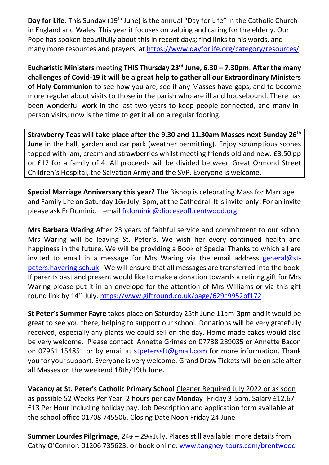**Day for Life.** This Sunday (19<sup>th</sup> June) is the annual "Day for Life" in the Catholic Church in England and Wales. This year it focuses on valuing and caring for the elderly. Our Pope has spoken beautifully about this in recent days; find links to his words, and many more resources and prayers, at<https://www.dayforlife.org/category/resources/>

**Eucharistic Ministers** meeting **THIS Thursday 23rd June, 6.30 – 7.30pm**. **After the many challenges of Covid-19 it will be a great help to gather all our Extraordinary Ministers of Holy Communion** to see how you are, see if any Masses have gaps, and to become more regular about visits to those in the parish who are ill and housebound. There has been wonderful work in the last two years to keep people connected, and many inperson visits; now is the time to get it all on a regular footing.

**Strawberry Teas will take place after the 9.30 and 11.30am Masses next Sunday 26th June** in the hall, garden and car park (weather permitting). Enjoy scrumptious scones topped with jam, cream and strawberries whilst meeting friends old and new. £3.50 pp or £12 for a family of 4. All proceeds will be divided between Great Ormond Street Children's Hospital, the Salvation Army and the SVP. Everyone is welcome.

**Special Marriage Anniversary this year?** The Bishop is celebrating Mass for Marriage and Family Life on Saturday 16th July, 3pm, at the Cathedral. It is invite-only! For an invite please ask Fr Dominic – email [frdominic@dioceseofbrentwood.org](mailto:frdominic@dioceseofbrentwood.org)

**Mrs Barbara Waring** After 23 years of faithful service and commitment to our school Mrs Waring will be leaving St. Peter's. We wish her every continued health and happiness in the future. We will be providing a Book of Special Thanks to which all are invited to email in a message for Mrs Waring via the email address [general@st](mailto:general@st-peters.havering.sch.uk)[peters.havering.sch.uk.](mailto:general@st-peters.havering.sch.uk) We will ensure that all messages are transferred into the book. If parents past and present would like to make a donation towards a retiring gift for Mrs Waring please put it in an envelope for the attention of Mrs Williams or via this gift round link by 14th July. <https://www.giftround.co.uk/page/629c9952bf172>

**St Peter's Summer Fayre** takes place on Saturday 25th June 11am-3pm and it would be great to see you there, helping to support our school. Donations will be very gratefully received, especially any plants we could sell on the day. Home made cakes would also be very welcome. Please contact Annette Grimes on 07738 289035 or Annette Bacon on 07961 154851 or by email at [stpeterssft@gmail.com](mailto:stpeterssft@gmail.com) for more information. Thank you for your support. Everyone is very welcome. Grand Draw Tickets will be on sale after all Masses on the weekend 18th/19th June.

**Vacancy at St. Peter's Catholic Primary School** Cleaner Required July 2022 or as soon as possible 52 Weeks Per Year 2 hours per day Monday- Friday 3-5pm. Salary £12.67- £13 Per Hour including holiday pay. Job Description and application form available at the school office 01708 745506. Closing Date Noon Friday 24 June

**Summer Lourdes Pilgrimage**, 24th – 29th July. Places still available: more details from Cathy O'Connor. 01206 735623, or book online: [www.tangney-tours.com/brentwood](http://www.tangney-tours.com/brentwood)